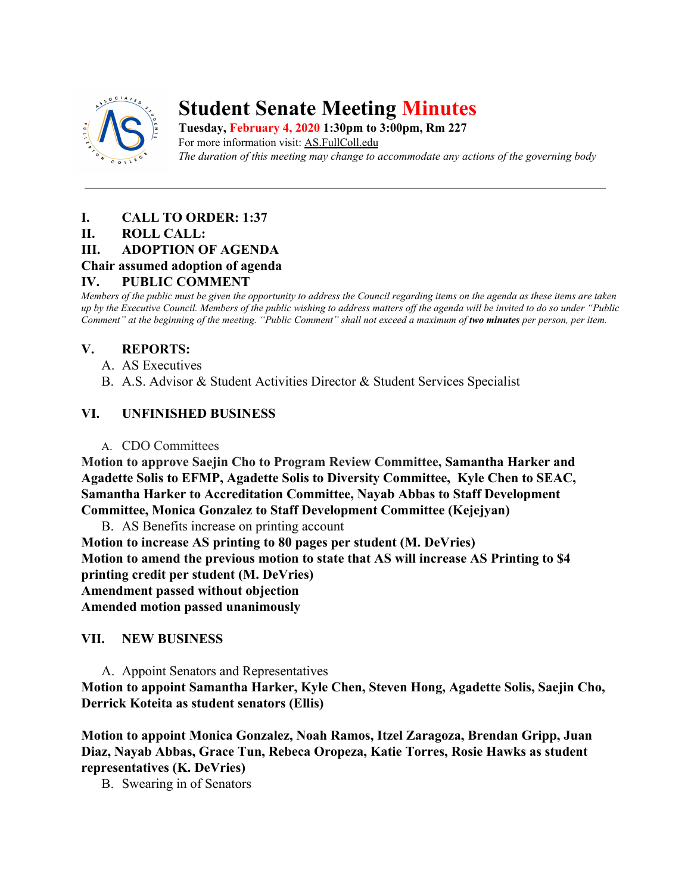

# **Student Senate Meeting Minutes**

**Tuesday, February 4, 2020 1:30pm to 3:00pm, Rm 227** For more information visit: AS.FullColl.edu *The duration of this meeting may change to accommodate any actions of the governing body*

# **I. CALL TO ORDER: 1:37**

#### **II. ROLL CALL:**

#### **III. ADOPTION OF AGENDA**

# **Chair assumed adoption of agenda**

# **IV. PUBLIC COMMENT**

*Members of the public must be given the opportunity to address the Council regarding items on the agenda as these items are taken up by the Executive Council. Members of the public wishing to address matters off the agenda will be invited to do so under "Public Comment" at the beginning of the meeting. "Public Comment" shall not exceed a maximum of two minutes per person, per item.*

# **V. REPORTS:**

- A. AS Executives
- B. A.S. Advisor & Student Activities Director & Student Services Specialist

# **VI. UNFINISHED BUSINESS**

#### A. CDO Committees

**Motion to approve Saejin Cho to Program Review Committee, Samantha Harker and Agadette Solis to EFMP, Agadette Solis to Diversity Committee, Kyle Chen to SEAC, Samantha Harker to Accreditation Committee, Nayab Abbas to Staff Development Committee, Monica Gonzalez to Staff Development Committee (Kejejyan)**

B. AS Benefits increase on printing account

**Motion to increase AS printing to 80 pages per student (M. DeVries) Motion to amend the previous motion to state that AS will increase AS Printing to \$4 printing credit per student (M. DeVries) Amendment passed without objection Amended motion passed unanimously**

#### **VII. NEW BUSINESS**

A. Appoint Senators and Representatives **Motion to appoint Samantha Harker, Kyle Chen, Steven Hong, Agadette Solis, Saejin Cho, Derrick Koteita as student senators (Ellis)**

**Motion to appoint Monica Gonzalez, Noah Ramos, Itzel Zaragoza, Brendan Gripp, Juan Diaz, Nayab Abbas, Grace Tun, Rebeca Oropeza, Katie Torres, Rosie Hawks as student representatives (K. DeVries)**

B. Swearing in of Senators